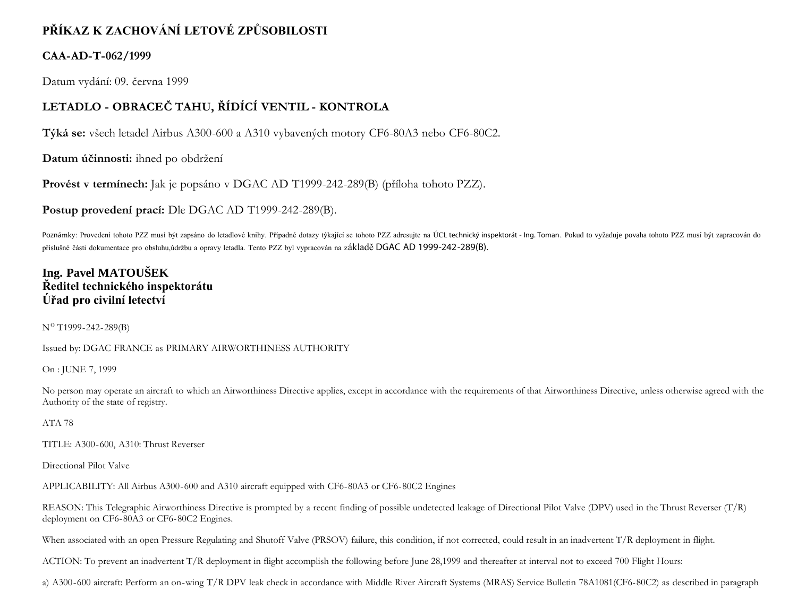# **PŘÍKAZ K ZACHOVÁNÍ LETOVÉ ZPŮSOBILOSTI**

#### **CAA-AD-T-062/1999**

Datum vydání: 09. června 1999

## **LETADLO - OBRACEČ TAHU, ŘÍDÍCÍ VENTIL - KONTROLA**

**Týká se:** všech letadel Airbus A300-600 a A310 vybavených motory CF6-80A3 nebo CF6-80C2.

**Datum účinnosti:** ihned po obdržení

**Provést v termínech:** Jak je popsáno v DGAC AD T1999-242-289(B) (příloha tohoto PZZ).

**Postup provedení prací:** Dle DGAC AD T1999-242-289(B).

Poznámky: Provedení tohoto PZZ musí být zapsáno do letadlové knihy. Případné dotazy týkající se tohoto PZZ adresujte na ÚCL technický inspektorát - Ing. Toman. Pokud to vyžaduje povaha tohoto PZZ musí být zapracován do příslušné části dokumentace pro obsluhu,údržbu a opravy letadla. Tento PZZ byl vypracován na základě DGAC AD 1999-242-289(B).

### **Ing. Pavel MATOUŠEK Ředitel technického inspektorátu Úřad pro civilní letectví**

 $N^{O}$  T1999-242-289(B)

Issued by: DGAC FRANCE as PRIMARY AIRWORTHINESS AUTHORITY

On : JUNE 7, 1999

No person may operate an aircraft to which an Airworthiness Directive applies, except in accordance with the requirements of that Airworthiness Directive, unless otherwise agreed with the Authority of the state of registry.

ATA 78

TITLE: A300-600, A310: Thrust Reverser

Directional Pilot Valve

APPLICABILITY: All Airbus A300-600 and A310 aircraft equipped with CF6-80A3 or CF6-80C2 Engines

REASON: This Telegraphic Airworthiness Directive is prompted by a recent finding of possible undetected leakage of Directional Pilot Valve (DPV) used in the Thrust Reverser  $(T/R)$ deployment on CF6-80A3 or CF6-80C2 Engines.

When associated with an open Pressure Regulating and Shutoff Valve (PRSOV) failure, this condition, if not corrected, could result in an inadvertent T/R deployment in flight.

ACTION: To prevent an inadvertent T/R deployment in flight accomplish the following before June 28,1999 and thereafter at interval not to exceed 700 Flight Hours:

a) A300-600 aircraft: Perform an on-wing T/R DPV leak check in accordance with Middle River Aircraft Systems (MRAS) Service Bulletin 78A1081(CF6-80C2) as described in paragraph